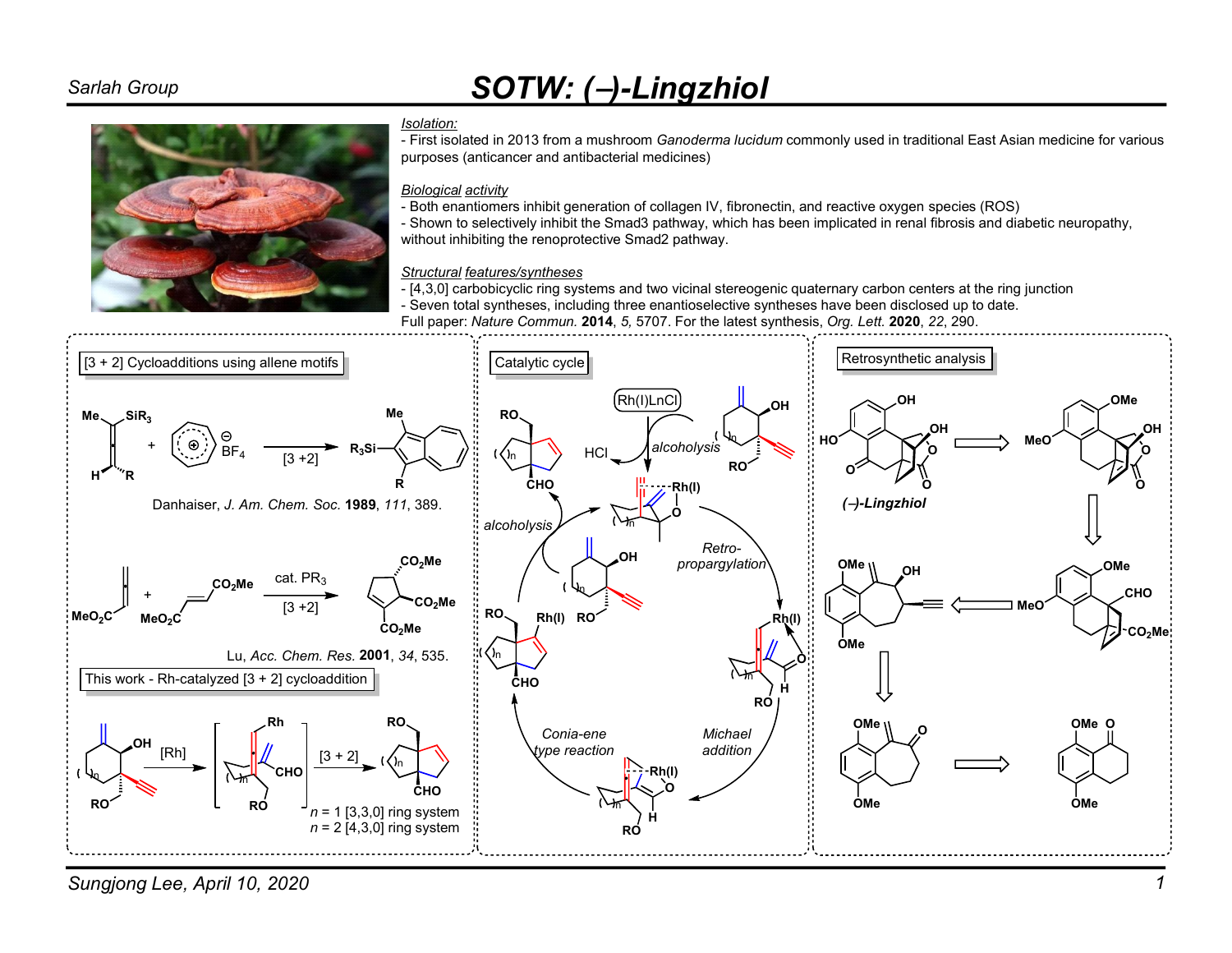# Sarlah Group SOTW: (-)-Lingzhiol



#### Isolation:

- First isolated in 2013 from a mushroom Ganoderma lucidum commonly used in traditional East Asian medicine for various purposes (anticancer and antibacterial medicines)

### Biological activity

- Both enantiomers inhibit generation of collagen IV, fibronectin, and reactive oxygen species (ROS)
- Shown to selectively inhibit the Smad3 pathway, which has been implicated in renal fibrosis and diabetic neuropathy, without inhibiting the renoprotective Smad2 pathway.

### Structural features/syntheses

- [4,3,0] carbobicyclic ring systems and two vicinal stereogenic quaternary carbon centers at the ring junction
- Seven total syntheses, including three enantioselective syntheses have been disclosed up to date.
- Full paper: Nature Commun. 2014, 5, 5707. For the latest synthesis, Org. Lett. 2020, 22, 290.



Sungjong Lee, April 10, 2020